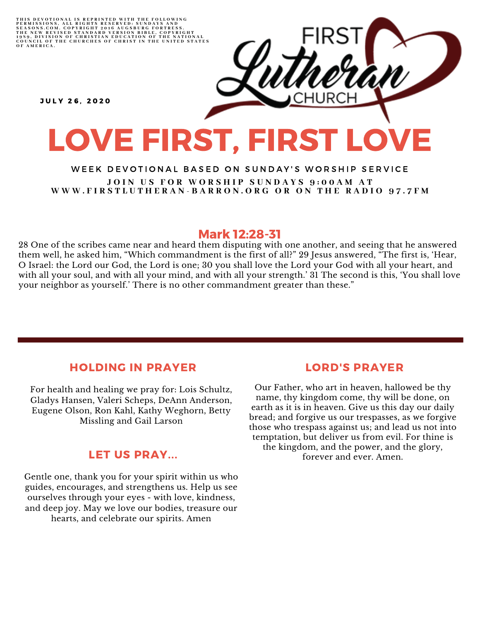

#### WEEK DEVOTIONAL BASED ON SUNDAY'S WORSHIP SERVICE JOIN US FOR WORSHIP SUNDAYS 9:00AM AT WWW.FIRSTLUTHERAN-BARRON.ORG OR ON THE RADIO 97.7FM

# Mark 12:28-31

28 One of the scribes came near and heard them disputing with one another, and seeing that he answered them well, he asked him, "Which commandment is the first of all?" 29 Jesus answered, "The first is, 'Hear, O Israel: the Lord our God, the Lord is one; 30 you shall love the Lord your God with all your heart, and with all your soul, and with all your mind, and with all your strength.' 31 The second is this, 'You shall love your neighbor as yourself.' There is no other commandment greater than these."

# HOLDING IN PRAYER

For health and healing we pray for: Lois Schultz, Gladys Hansen, Valeri Scheps, DeAnn Anderson, Eugene Olson, Ron Kahl, Kathy Weghorn, Betty Missling and Gail Larson

## LET US PRAY...

Gentle one, thank you for your spirit within us who guides, encourages, and strengthens us. Help us see ourselves through your eyes - with love, kindness, and deep joy. May we love our bodies, treasure our hearts, and celebrate our spirits. Amen

## LORD'S PRAYER

Our Father, who art in heaven, hallowed be thy name, thy kingdom come, thy will be done, on earth as it is in heaven. Give us this day our daily bread; and forgive us our trespasses, as we forgive those who trespass against us; and lead us not into temptation, but deliver us from evil. For thine is the kingdom, and the power, and the glory, forever and ever. Amen.